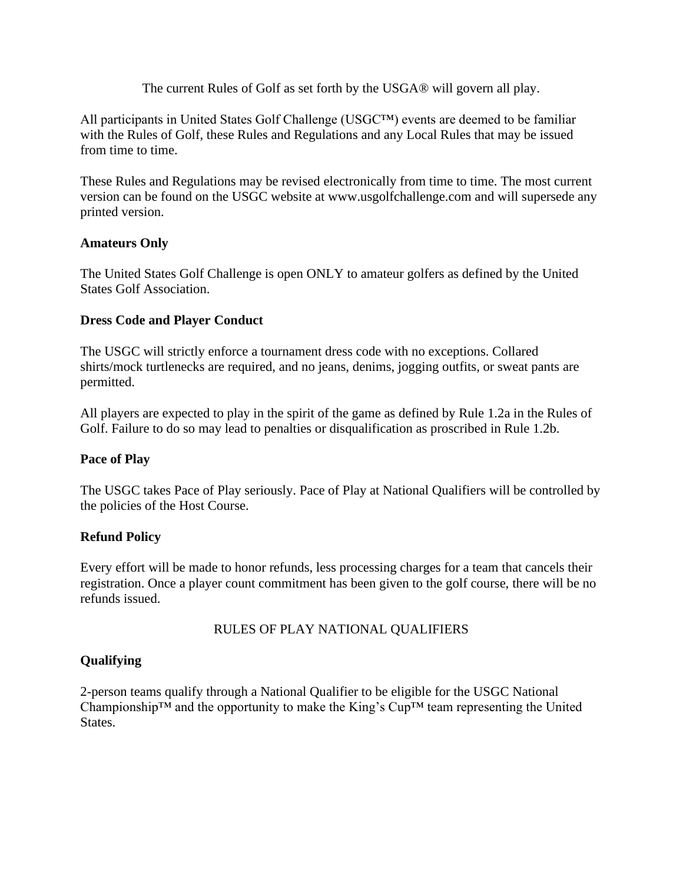The current Rules of Golf as set forth by the USGA® will govern all play.

All participants in United States Golf Challenge (USGC™) events are deemed to be familiar with the Rules of Golf, these Rules and Regulations and any Local Rules that may be issued from time to time.

These Rules and Regulations may be revised electronically from time to time. The most current version can be found on the USGC website at www.usgolfchallenge.com and will supersede any printed version.

## **Amateurs Only**

The United States Golf Challenge is open ONLY to amateur golfers as defined by the United States Golf Association.

## **Dress Code and Player Conduct**

The USGC will strictly enforce a tournament dress code with no exceptions. Collared shirts/mock turtlenecks are required, and no jeans, denims, jogging outfits, or sweat pants are permitted.

All players are expected to play in the spirit of the game as defined by Rule 1.2a in the Rules of Golf. Failure to do so may lead to penalties or disqualification as proscribed in Rule 1.2b.

#### **Pace of Play**

The USGC takes Pace of Play seriously. Pace of Play at National Qualifiers will be controlled by the policies of the Host Course.

# **Refund Policy**

Every effort will be made to honor refunds, less processing charges for a team that cancels their registration. Once a player count commitment has been given to the golf course, there will be no refunds issued.

# RULES OF PLAY NATIONAL QUALIFIERS

# **Qualifying**

2-person teams qualify through a National Qualifier to be eligible for the USGC National Championship™ and the opportunity to make the King's Cup™ team representing the United States.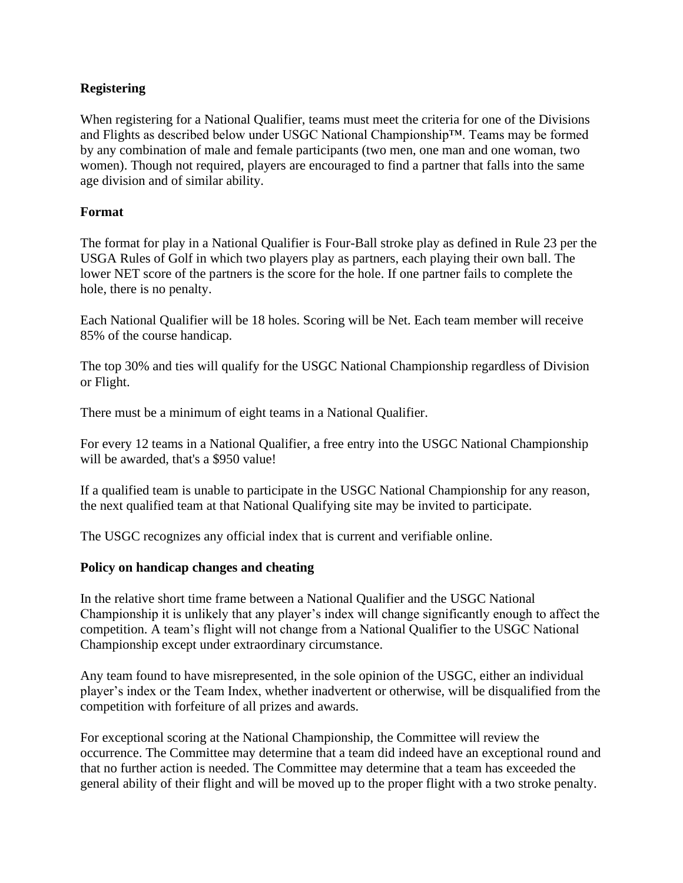# **Registering**

When registering for a National Qualifier, teams must meet the criteria for one of the Divisions and Flights as described below under USGC National Championship™. Teams may be formed by any combination of male and female participants (two men, one man and one woman, two women). Though not required, players are encouraged to find a partner that falls into the same age division and of similar ability.

#### **Format**

The format for play in a National Qualifier is Four-Ball stroke play as defined in Rule 23 per the USGA Rules of Golf in which two players play as partners, each playing their own ball. The lower NET score of the partners is the score for the hole. If one partner fails to complete the hole, there is no penalty.

Each National Qualifier will be 18 holes. Scoring will be Net. Each team member will receive 85% of the course handicap.

The top 30% and ties will qualify for the USGC National Championship regardless of Division or Flight.

There must be a minimum of eight teams in a National Qualifier.

For every 12 teams in a National Qualifier, a free entry into the USGC National Championship will be awarded, that's a \$950 value!

If a qualified team is unable to participate in the USGC National Championship for any reason, the next qualified team at that National Qualifying site may be invited to participate.

The USGC recognizes any official index that is current and verifiable online.

#### **Policy on handicap changes and cheating**

In the relative short time frame between a National Qualifier and the USGC National Championship it is unlikely that any player's index will change significantly enough to affect the competition. A team's flight will not change from a National Qualifier to the USGC National Championship except under extraordinary circumstance.

Any team found to have misrepresented, in the sole opinion of the USGC, either an individual player's index or the Team Index, whether inadvertent or otherwise, will be disqualified from the competition with forfeiture of all prizes and awards.

For exceptional scoring at the National Championship, the Committee will review the occurrence. The Committee may determine that a team did indeed have an exceptional round and that no further action is needed. The Committee may determine that a team has exceeded the general ability of their flight and will be moved up to the proper flight with a two stroke penalty.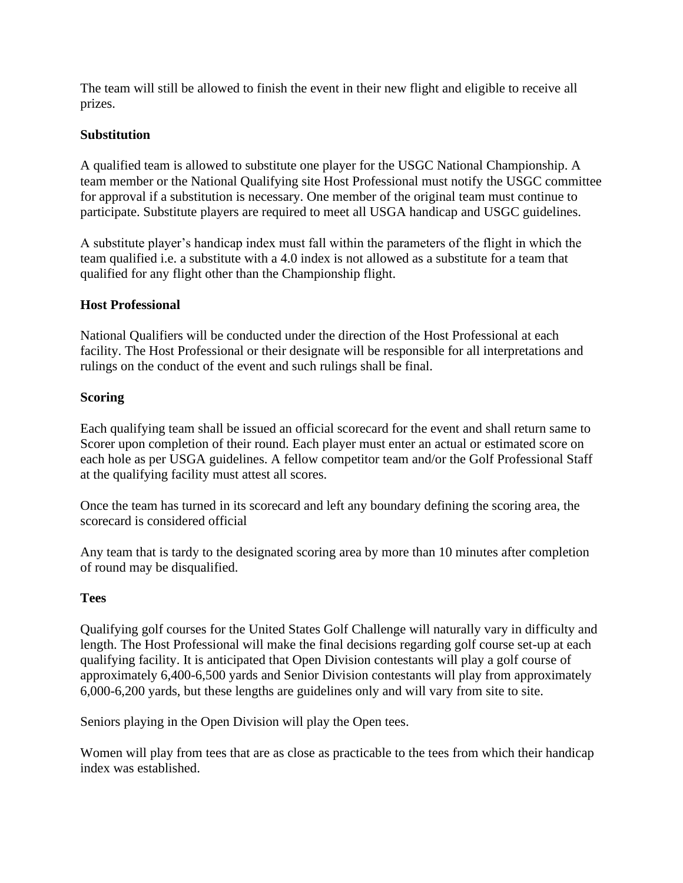The team will still be allowed to finish the event in their new flight and eligible to receive all prizes.

## **Substitution**

A qualified team is allowed to substitute one player for the USGC National Championship. A team member or the National Qualifying site Host Professional must notify the USGC committee for approval if a substitution is necessary. One member of the original team must continue to participate. Substitute players are required to meet all USGA handicap and USGC guidelines.

A substitute player's handicap index must fall within the parameters of the flight in which the team qualified i.e. a substitute with a 4.0 index is not allowed as a substitute for a team that qualified for any flight other than the Championship flight.

## **Host Professional**

National Qualifiers will be conducted under the direction of the Host Professional at each facility. The Host Professional or their designate will be responsible for all interpretations and rulings on the conduct of the event and such rulings shall be final.

## **Scoring**

Each qualifying team shall be issued an official scorecard for the event and shall return same to Scorer upon completion of their round. Each player must enter an actual or estimated score on each hole as per USGA guidelines. A fellow competitor team and/or the Golf Professional Staff at the qualifying facility must attest all scores.

Once the team has turned in its scorecard and left any boundary defining the scoring area, the scorecard is considered official

Any team that is tardy to the designated scoring area by more than 10 minutes after completion of round may be disqualified.

#### **Tees**

Qualifying golf courses for the United States Golf Challenge will naturally vary in difficulty and length. The Host Professional will make the final decisions regarding golf course set-up at each qualifying facility. It is anticipated that Open Division contestants will play a golf course of approximately 6,400-6,500 yards and Senior Division contestants will play from approximately 6,000-6,200 yards, but these lengths are guidelines only and will vary from site to site.

Seniors playing in the Open Division will play the Open tees.

Women will play from tees that are as close as practicable to the tees from which their handicap index was established.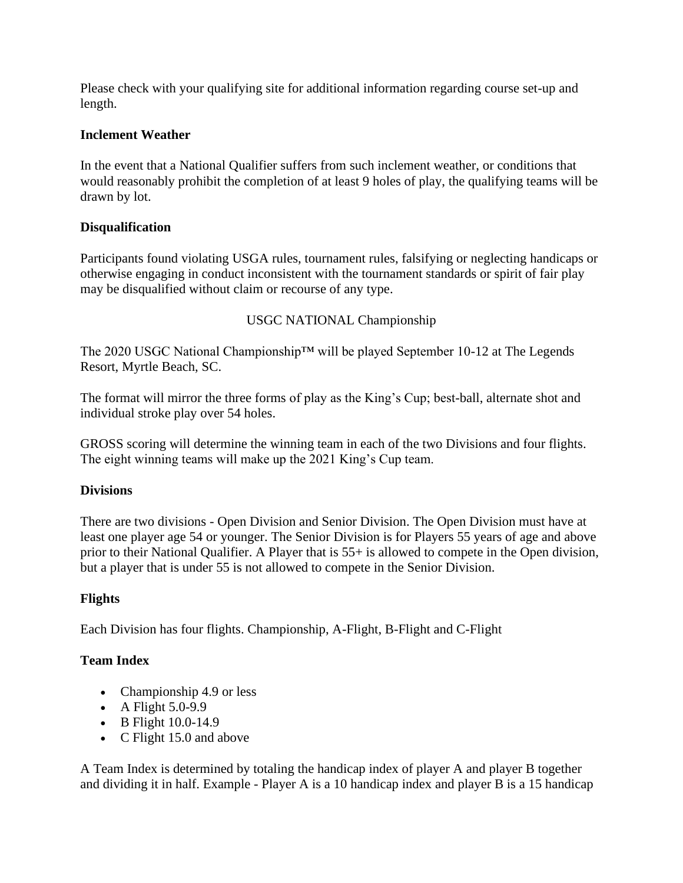Please check with your qualifying site for additional information regarding course set-up and length.

## **Inclement Weather**

In the event that a National Qualifier suffers from such inclement weather, or conditions that would reasonably prohibit the completion of at least 9 holes of play, the qualifying teams will be drawn by lot.

# **Disqualification**

Participants found violating USGA rules, tournament rules, falsifying or neglecting handicaps or otherwise engaging in conduct inconsistent with the tournament standards or spirit of fair play may be disqualified without claim or recourse of any type.

## USGC NATIONAL Championship

The 2020 USGC National Championship™ will be played September 10-12 at The Legends Resort, Myrtle Beach, SC.

The format will mirror the three forms of play as the King's Cup; best-ball, alternate shot and individual stroke play over 54 holes.

GROSS scoring will determine the winning team in each of the two Divisions and four flights. The eight winning teams will make up the 2021 King's Cup team.

#### **Divisions**

There are two divisions - Open Division and Senior Division. The Open Division must have at least one player age 54 or younger. The Senior Division is for Players 55 years of age and above prior to their National Qualifier. A Player that is 55+ is allowed to compete in the Open division, but a player that is under 55 is not allowed to compete in the Senior Division.

# **Flights**

Each Division has four flights. Championship, A-Flight, B-Flight and C-Flight

# **Team Index**

- Championship 4.9 or less
- A Flight 5.0-9.9
- B Flight 10.0-14.9
- C Flight 15.0 and above

A Team Index is determined by totaling the handicap index of player A and player B together and dividing it in half. Example - Player A is a 10 handicap index and player B is a 15 handicap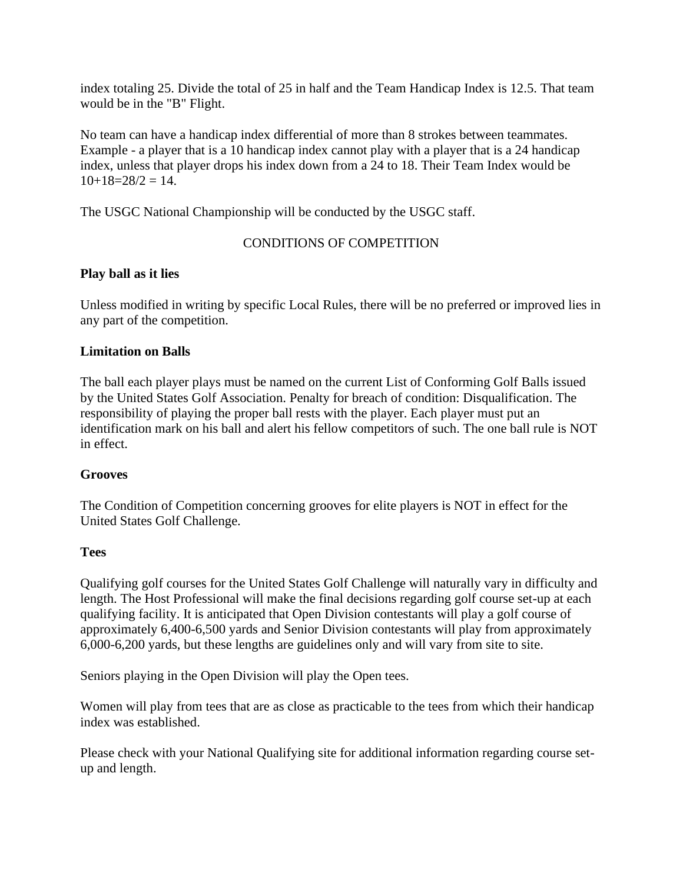index totaling 25. Divide the total of 25 in half and the Team Handicap Index is 12.5. That team would be in the "B" Flight.

No team can have a handicap index differential of more than 8 strokes between teammates. Example - a player that is a 10 handicap index cannot play with a player that is a 24 handicap index, unless that player drops his index down from a 24 to 18. Their Team Index would be  $10+18=28/2=14$ .

The USGC National Championship will be conducted by the USGC staff.

## CONDITIONS OF COMPETITION

## **Play ball as it lies**

Unless modified in writing by specific Local Rules, there will be no preferred or improved lies in any part of the competition.

## **Limitation on Balls**

The ball each player plays must be named on the current List of Conforming Golf Balls issued by the United States Golf Association. Penalty for breach of condition: Disqualification. The responsibility of playing the proper ball rests with the player. Each player must put an identification mark on his ball and alert his fellow competitors of such. The one ball rule is NOT in effect.

#### **Grooves**

The Condition of Competition concerning grooves for elite players is NOT in effect for the United States Golf Challenge.

#### **Tees**

Qualifying golf courses for the United States Golf Challenge will naturally vary in difficulty and length. The Host Professional will make the final decisions regarding golf course set-up at each qualifying facility. It is anticipated that Open Division contestants will play a golf course of approximately 6,400-6,500 yards and Senior Division contestants will play from approximately 6,000-6,200 yards, but these lengths are guidelines only and will vary from site to site.

Seniors playing in the Open Division will play the Open tees.

Women will play from tees that are as close as practicable to the tees from which their handicap index was established.

Please check with your National Qualifying site for additional information regarding course setup and length.